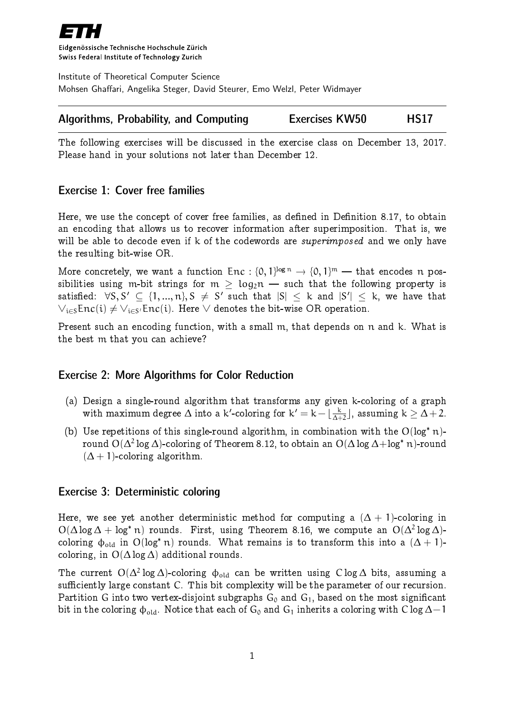

Eidgenössische Technische Hochschule Zürich Swiss Federal Institute of Technology Zurich

Institute of Theoretical Computer Science Mohsen Ghaffari, Angelika Steger, David Steurer, Emo Welzl, Peter Widmayer

| <b>Algorithms, Probability, and Computing</b> | <b>Exercises KW50</b> | <b>HS17</b> |
|-----------------------------------------------|-----------------------|-------------|
|-----------------------------------------------|-----------------------|-------------|

The following exercises will be discussed in the exercise class on December 13, 2017. Please hand in your solutions not later than December 12.

## Exercise 1: Cover free families

Here, we use the concept of cover free families, as defined in Definition 8.17, to obtain an encoding that allows us to recover information after superimposition. That is, we will be able to decode even if k of the codewords are *superimposed* and we only have the resulting bit-wise OR.

More concretely, we want a function  $Enc : \{0, 1\}^{\log n} \to \{0, 1\}^m$  — that encodes n pos-<br>sibilities using an bit strings for  $m > 1$  and  $m > 1$  that the following approach is sibilities using m-bit strings for  $m > log_2 n$  – such that the following property is satisfied:  $\forall S, S' \subseteq \{1, ..., n\}, S$   $\neq$   $S'$  such that  $|S| \leq$   $k$  and  $|S'| \leq$   $k,$  we have that  $\vee_{\mathfrak{i}\in\mathsf{S}}\mathsf{Enc}(\mathfrak{i})\neq\vee_{\mathfrak{i}\in\mathsf{S}'}\mathsf{Enc}(\mathfrak{i})$ . Here  $\vee$  denotes the bit-wise OR operation.

Present such an encoding function, with a small m, that depends on n and k. What is the best m that you can achieve?

## Exercise 2: More Algorithms for Color Reduction

- (a) Design a single-round algorithm that transforms any given k-coloring of a graph with maximum degree  $\Delta$  into a k'-coloring for  $k' = k - \lfloor \frac{k}{\Delta + 1} \rfloor$  $\frac{\mathsf{k}}{\Delta+2}$ ], assuming  $\mathsf{k} \geq \Delta+2$ .
- (b) Use repetitions of this single-round algorithm, in combination with the  $O(log^* n)$ round  $\mathrm{O}(\Delta^2\log\Delta)$ -coloring of Theorem 8.12, to obtain an  $\mathrm{O}(\Delta\log\Delta\!+\!\log^* n)$ -round  $(\Delta + 1)$ -coloring algorithm.

## Exercise 3: Deterministic coloring

Here, we see yet another deterministic method for computing a  $(\Delta + 1)$ -coloring in  $O(\Delta \log \Delta + \log^* n)$  rounds. First, using Theorem 8.16, we compute an  $O(\Delta^2 \log \Delta)$ coloring  $\phi_{old}$  in  $O(log^* n)$  rounds. What remains is to transform this into a  $(\Delta + 1)$ coloring, in  $O(\Delta \log \Delta)$  additional rounds.

The current  $\mathrm{O}(\Delta^2\log\Delta)$ -coloring  $\Phi_\text{old}$  can be written using  $\mathrm{C}\log\Delta$  bits, assuming a sufficiently large constant C. This bit complexity will be the parameter of our recursion. Partition G into two vertex-disjoint subgraphs  $G_0$  and  $G_1$ , based on the most significant bit in the coloring  $\phi_{old}$ . Notice that each of G<sub>0</sub> and G<sub>1</sub> inherits a coloring with C log  $\Delta-1$